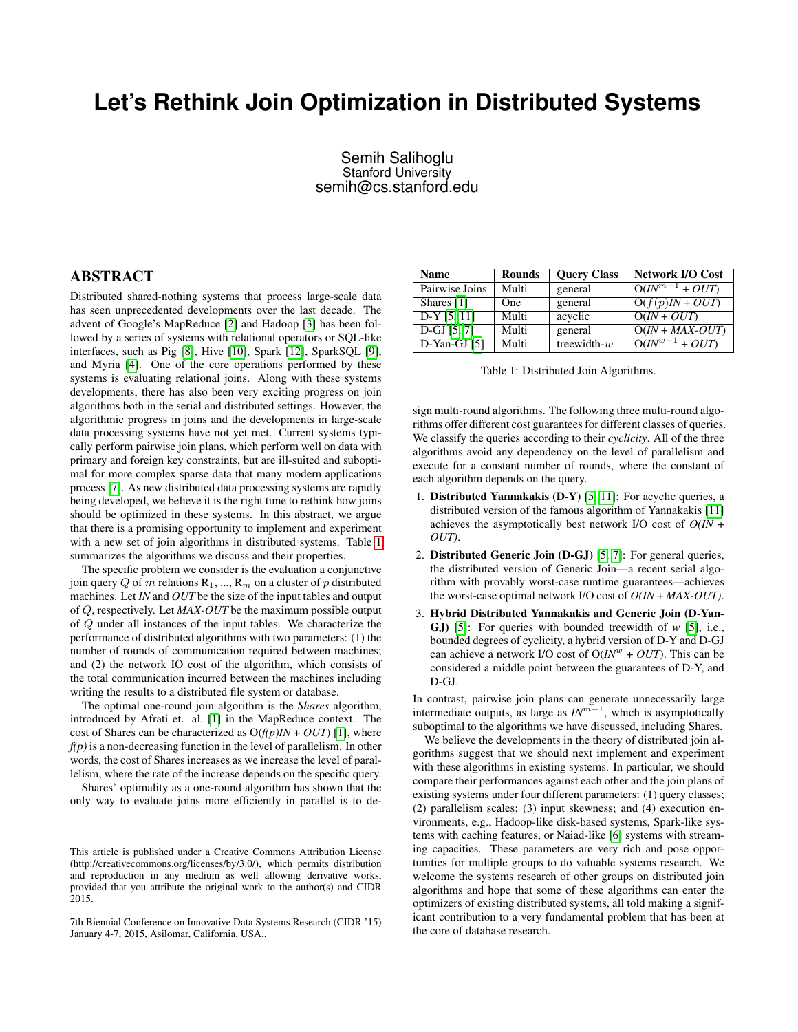## **Let's Rethink Join Optimization in Distributed Systems**

## Semih Salihoglu Stanford University semih@cs.stanford.edu

## ABSTRACT

Distributed shared-nothing systems that process large-scale data has seen unprecedented developments over the last decade. The advent of Google's MapReduce [\[2\]](#page-1-0) and Hadoop [\[3\]](#page-1-1) has been followed by a series of systems with relational operators or SQL-like interfaces, such as Pig [\[8\]](#page-1-2), Hive [\[10\]](#page-1-3), Spark [\[12\]](#page-1-4), SparkSQL [\[9\]](#page-1-5), and Myria [\[4\]](#page-1-6). One of the core operations performed by these systems is evaluating relational joins. Along with these systems developments, there has also been very exciting progress on join algorithms both in the serial and distributed settings. However, the algorithmic progress in joins and the developments in large-scale data processing systems have not yet met. Current systems typically perform pairwise join plans, which perform well on data with primary and foreign key constraints, but are ill-suited and suboptimal for more complex sparse data that many modern applications process [\[7\]](#page-1-7). As new distributed data processing systems are rapidly being developed, we believe it is the right time to rethink how joins should be optimized in these systems. In this abstract, we argue that there is a promising opportunity to implement and experiment with a new set of join algorithms in distributed systems. Table [1](#page-0-0) summarizes the algorithms we discuss and their properties.

The specific problem we consider is the evaluation a conjunctive join query Q of m relations  $R_1$ , ...,  $R_m$  on a cluster of p distributed machines. Let *IN* and *OUT* be the size of the input tables and output of Q, respectively. Let *MAX-OUT* be the maximum possible output of Q under all instances of the input tables. We characterize the performance of distributed algorithms with two parameters: (1) the number of rounds of communication required between machines; and (2) the network IO cost of the algorithm, which consists of the total communication incurred between the machines including writing the results to a distributed file system or database.

The optimal one-round join algorithm is the *Shares* algorithm, introduced by Afrati et. al. [\[1\]](#page-1-8) in the MapReduce context. The cost of Shares can be characterized as  $O(f(p)IN + OUT)$  [\[1\]](#page-1-8), where  $f(p)$  is a non-decreasing function in the level of parallelism. In other words, the cost of Shares increases as we increase the level of parallelism, where the rate of the increase depends on the specific query.

Shares' optimality as a one-round algorithm has shown that the only way to evaluate joins more efficiently in parallel is to de-

<span id="page-0-0"></span>

| <b>Name</b>    | <b>Rounds</b> | <b>Query Class</b> | <b>Network I/O Cost</b>       |
|----------------|---------------|--------------------|-------------------------------|
| Pairwise Joins | Multi         | general            | $\overline{O(N}^{m-1} + OUT)$ |
| Shares [1]     | <b>One</b>    | general            | $O(f(p)IN + OUT)$             |
| $D-Y$ [5, 11]  | Multi         | acyclic            | $O(IN + OUT)$                 |
| $D-GJ [5, 7]$  | Multi         | general            | $O(IN + MAX-OUT)$             |
| $D-Yan-GJ$ [5] | Multi         | treewidth- $w$     | $\overline{O(N^{w-1} + OUT)}$ |
|                |               |                    |                               |

|  | Table 1: Distributed Join Algorithms. |  |
|--|---------------------------------------|--|
|--|---------------------------------------|--|

sign multi-round algorithms. The following three multi-round algorithms offer different cost guarantees for different classes of queries. We classify the queries according to their *cyclicity*. All of the three algorithms avoid any dependency on the level of parallelism and execute for a constant number of rounds, where the constant of each algorithm depends on the query.

- 1. Distributed Yannakakis (D-Y) [\[5,](#page-1-9) [11\]](#page-1-10): For acyclic queries, a distributed version of the famous algorithm of Yannakakis [\[11\]](#page-1-10) achieves the asymptotically best network I/O cost of *O(IN* + *OUT)*.
- 2. Distributed Generic Join (D-GJ) [\[5,](#page-1-9) [7\]](#page-1-7): For general queries, the distributed version of Generic Join—a recent serial algorithm with provably worst-case runtime guarantees—achieves the worst-case optimal network I/O cost of *O(IN* + *MAX-OUT)*.
- 3. Hybrid Distributed Yannakakis and Generic Join (D-Yan-GJ) [\[5\]](#page-1-9): For queries with bounded treewidth of *w* [\[5\]](#page-1-9), i.e., bounded degrees of cyclicity, a hybrid version of D-Y and D-GJ can achieve a network I/O cost of  $O(IN^w + OUT)$ . This can be considered a middle point between the guarantees of D-Y, and D-GJ.

In contrast, pairwise join plans can generate unnecessarily large intermediate outputs, as large as  $IN^{m-1}$ , which is asymptotically suboptimal to the algorithms we have discussed, including Shares.

We believe the developments in the theory of distributed join algorithms suggest that we should next implement and experiment with these algorithms in existing systems. In particular, we should compare their performances against each other and the join plans of existing systems under four different parameters: (1) query classes; (2) parallelism scales; (3) input skewness; and (4) execution environments, e.g., Hadoop-like disk-based systems, Spark-like systems with caching features, or Naiad-like [\[6\]](#page-1-11) systems with streaming capacities. These parameters are very rich and pose opportunities for multiple groups to do valuable systems research. We welcome the systems research of other groups on distributed join algorithms and hope that some of these algorithms can enter the optimizers of existing distributed systems, all told making a significant contribution to a very fundamental problem that has been at the core of database research.

This article is published under a Creative Commons Attribution License (http://creativecommons.org/licenses/by/3.0/), which permits distribution and reproduction in any medium as well allowing derivative works, provided that you attribute the original work to the author(s) and CIDR 2015.

<sup>7</sup>th Biennial Conference on Innovative Data Systems Research (CIDR '15) January 4-7, 2015, Asilomar, California, USA..